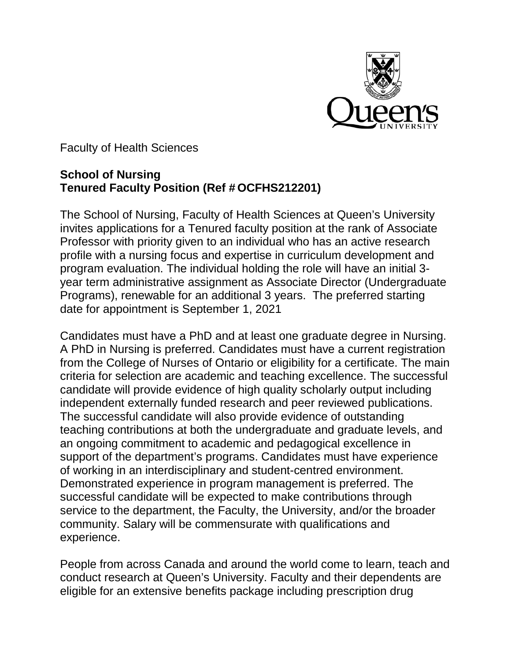

Faculty of Health Sciences

## **School of Nursing Tenured Faculty Position (Ref # OCFHS212201)**

The School of Nursing, Faculty of Health Sciences at Queen's University invites applications for a Tenured faculty position at the rank of Associate Professor with priority given to an individual who has an active research profile with a nursing focus and expertise in curriculum development and program evaluation. The individual holding the role will have an initial 3 year term administrative assignment as Associate Director (Undergraduate Programs), renewable for an additional 3 years. The preferred starting date for appointment is September 1, 2021

Candidates must have a PhD and at least one graduate degree in Nursing. A PhD in Nursing is preferred. Candidates must have a current registration from the College of Nurses of Ontario or eligibility for a certificate. The main criteria for selection are academic and teaching excellence. The successful candidate will provide evidence of high quality scholarly output including independent externally funded research and peer reviewed publications. The successful candidate will also provide evidence of outstanding teaching contributions at both the undergraduate and graduate levels, and an ongoing commitment to academic and pedagogical excellence in support of the department's programs. Candidates must have experience of working in an interdisciplinary and student-centred environment. Demonstrated experience in program management is preferred. The successful candidate will be expected to make contributions through service to the department, the Faculty, the University, and/or the broader community. Salary will be commensurate with qualifications and experience.

People from across Canada and around the world come to learn, teach and conduct research at Queen's University. Faculty and their dependents are eligible for an extensive benefits package including prescription drug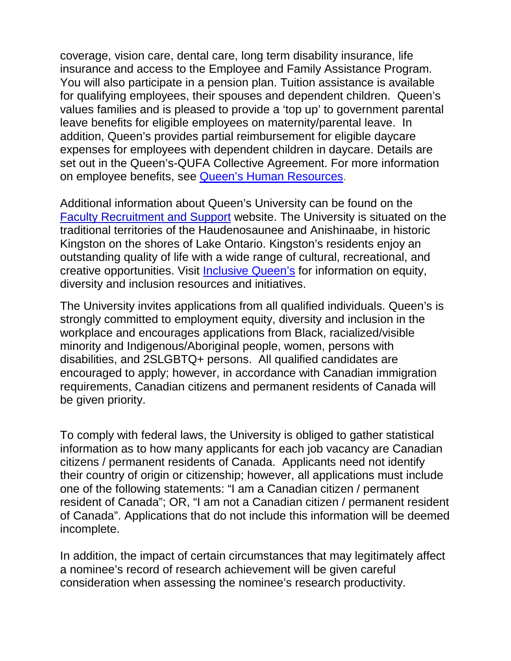coverage, vision care, dental care, long term disability insurance, life insurance and access to the Employee and Family Assistance Program. You will also participate in a pension plan. Tuition assistance is available for qualifying employees, their spouses and dependent children. Queen's values families and is pleased to provide a 'top up' to government parental leave benefits for eligible employees on maternity/parental leave. In addition, Queen's provides partial reimbursement for eligible daycare expenses for employees with dependent children in daycare. Details are set out in the Queen's-QUFA Collective Agreement. For more information on employee benefits, see [Queen's Human Resources.](http://www.queensu.ca/humanresources/)

Additional information about Queen's University can be found on the [Faculty Recruitment and Support](http://www.queensu.ca/facultyrecruitment) website. The University is situated on the traditional territories of the Haudenosaunee and Anishinaabe, in historic Kingston on the shores of Lake Ontario. Kingston's residents enjoy an outstanding quality of life with a wide range of cultural, recreational, and creative opportunities. Visit [Inclusive Queen's](https://www.queensu.ca/inclusive/content/home) for information on equity, diversity and inclusion resources and initiatives.

The University invites applications from all qualified individuals. Queen's is strongly committed to employment equity, diversity and inclusion in the workplace and encourages applications from Black, racialized/visible minority and Indigenous/Aboriginal people, women, persons with disabilities, and 2SLGBTQ+ persons. All qualified candidates are encouraged to apply; however, in accordance with Canadian immigration requirements, Canadian citizens and permanent residents of Canada will be given priority.

To comply with federal laws, the University is obliged to gather statistical information as to how many applicants for each job vacancy are Canadian citizens / permanent residents of Canada. Applicants need not identify their country of origin or citizenship; however, all applications must include one of the following statements: "I am a Canadian citizen / permanent resident of Canada"; OR, "I am not a Canadian citizen / permanent resident of Canada". Applications that do not include this information will be deemed incomplete.

In addition, the impact of certain circumstances that may legitimately affect a nominee's record of research achievement will be given careful consideration when assessing the nominee's research productivity.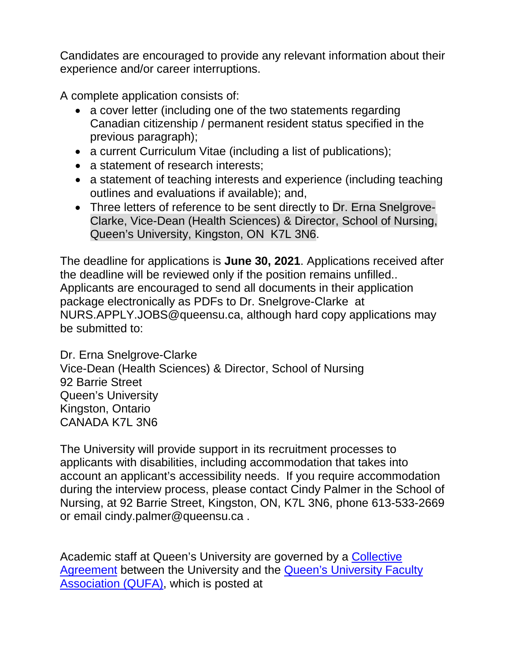Candidates are encouraged to provide any relevant information about their experience and/or career interruptions.

A complete application consists of:

- a cover letter (including one of the two statements regarding Canadian citizenship / permanent resident status specified in the previous paragraph);
- a current Curriculum Vitae (including a list of publications);
- a statement of research interests;
- a statement of teaching interests and experience (including teaching outlines and evaluations if available); and,
- Three letters of reference to be sent directly to Dr. Erna Snelgrove-Clarke, Vice-Dean (Health Sciences) & Director, School of Nursing, Queen's University, Kingston, ON K7L 3N6.

The deadline for applications is **June 30, 2021**. Applications received after the deadline will be reviewed only if the position remains unfilled.. Applicants are encouraged to send all documents in their application package electronically as PDFs to Dr. Snelgrove-Clarke at NURS.APPLY.JOBS@queensu.ca, although hard copy applications may be submitted to:

Dr. Erna Snelgrove-Clarke Vice-Dean (Health Sciences) & Director, School of Nursing 92 Barrie Street Queen's University Kingston, Ontario CANADA K7L 3N6

The University will provide support in its recruitment processes to applicants with disabilities, including accommodation that takes into account an applicant's accessibility needs. If you require accommodation during the interview process, please contact Cindy Palmer in the School of Nursing, at 92 Barrie Street, Kingston, ON, K7L 3N6, phone 613-533-2669 or email cindy.palmer@queensu.ca .

Academic staff at Queen's University are governed by a [Collective](http://queensu.ca/facultyrelations/faculty-librarians-and-archivists/collective-agreement)  [Agreement](http://queensu.ca/facultyrelations/faculty-librarians-and-archivists/collective-agreement) between the University and the [Queen's University Faculty](http://www.qufa.ca/)  [Association \(QUFA\),](http://www.qufa.ca/) which is posted at